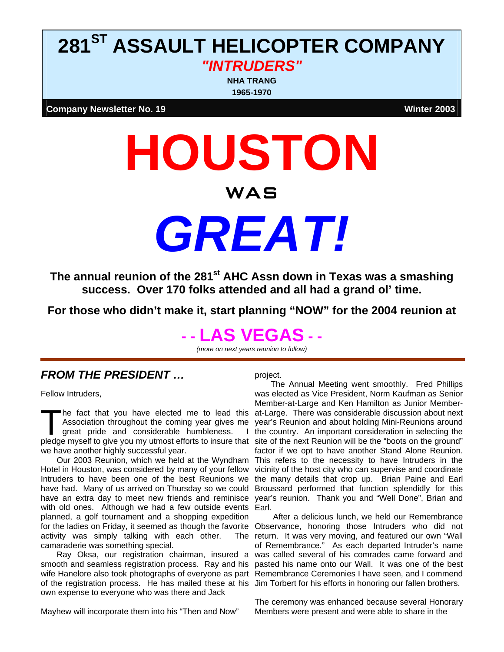# **281ST ASSAULT HELICOPTER COMPANY**  *"INTRUDERS"*

**NHA TRANG 1965-1970**

**Company Newsletter No. 19** We also a state of the company of the company Newsletter No. **19** 

# **HOUSTON**  WAS *GREAT!*

The annual reunion of the 281<sup>st</sup> AHC Assn down in Texas was a smashing **success. Over 170 folks attended and all had a grand ol' time.** 

**For those who didn't make it, start planning "NOW" for the 2004 reunion at** 

# **- - LAS VEGAS - -**

*(more on next years reunion to follow)* 

# *FROM THE PRESIDENT …*

Fellow Intruders,

he fact that you have elected me to lead this Association throughout the coming year gives me great pride and considerable humbleness. we have another highly successful year.

Our 2003 Reunion, which we held at the Wyndham Hotel in Houston, was considered by many of your fellow with old ones. Although we had a few outside events Earl. planned, a golf tournament and a shopping expedition activity was simply talking with each other. camaraderie was something special.

smooth and seamless registration process. Ray and his wife Hanelore also took photographs of everyone as part of the registration process. He has mailed these at his Jim Torbert for his efforts in honoring our fallen brothers. own expense to everyone who was there and Jack

Mayhew will incorporate them into his "Then and Now"

project.

The fact that you have elected me to lead this at-Large. There was considerable discussion about next<br>Association throughout the coming year gives me year's Reunion and about holding Mini-Reunions around<br>great pride and co Intruders to have been one of the best Reunions we the many details that crop up. Brian Paine and Earl have had. Many of us arrived on Thursday so we could Broussard performed that function splendidly for this have an extra day to meet new friends and reminisce year's reunion. Thank you and "Well Done", Brian and The Annual Meeting went smoothly. Fred Phillips was elected as Vice President, Norm Kaufman as Senior Member-at-Large and Ken Hamilton as Junior Memberat-Large. There was considerable discussion about next year's Reunion and about holding Mini-Reunions around I the country. An important consideration in selecting the factor if we opt to have another Stand Alone Reunion. This refers to the necessity to have Intruders in the vicinity of the host city who can supervise and coordinate

for the ladies on Friday, it seemed as though the favorite Observance, honoring those Intruders who did not Ray Oksa, our registration chairman, insured a was called several of his comrades came forward and After a delicious lunch, we held our Remembrance The return. It was very moving, and featured our own "Wall of Remembrance." As each departed Intruder's name pasted his name onto our Wall. It was one of the best Remembrance Ceremonies I have seen, and I commend

> The ceremony was enhanced because several Honorary Members were present and were able to share in the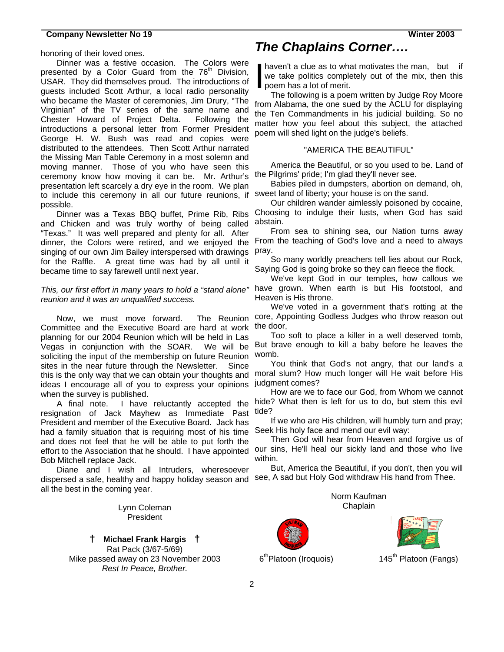honoring of their loved ones.

Dinner was a festive occasion. The Colors were presented by a Color Guard from the  $76<sup>th</sup>$  Division, USAR. They did themselves proud. The introductions of guests included Scott Arthur, a local radio personality who became the Master of ceremonies, Jim Drury, "The Virginian" of the TV series of the same name and Chester Howard of Project Delta. Following the introductions a personal letter from Former President George H. W. Bush was read and copies were distributed to the attendees. Then Scott Arthur narrated the Missing Man Table Ceremony in a most solemn and moving manner. Those of you who have seen this ceremony know how moving it can be. Mr. Arthur's presentation left scarcely a dry eye in the room. We plan to include this ceremony in all our future reunions, if possible.

and Chicken and was truly worthy of being called "Texas." It was well prepared and plenty for all. After dinner, the Colors were retired, and we enjoyed the singing of our own Jim Bailey interspersed with drawings for the Raffle. A great time was had by all until it became time to say farewell until next year.

*reunion and it was an unqualified success.* 

Now, we must move forward. Committee and the Executive Board are hard at work the door, planning for our 2004 Reunion which will be held in Las Vegas in conjunction with the SOAR. We will be soliciting the input of the membership on future Reunion sites in the near future through the Newsletter. Since this is the only way that we can obtain your thoughts and moral slum? How much longer will He wait before His ideas I encourage all of you to express your opinions judgment comes? when the survey is published.

resignation of Jack Mayhew as Immediate Past tide? President and member of the Executive Board. Jack has had a family situation that is requiring most of his time Seek His holy face and mend our evil way: and does not feel that he will be able to put forth the effort to the Association that he should. I have appointed Bob Mitchell replace Jack.

Diane and I wish all Intruders, wheresoever dispersed a safe, healthy and happy holiday season and see, A sad but Holy God withdraw His hand from Thee. all the best in the coming year.

> Lynn Coleman President

**† Michael Frank Hargis †**  Rat Pack (3/67-5/69)Mike passed away on 23 November 2003 *Rest In Peace, Brother.* 

# *The Chaplains Corner….*

haven't a clue as to what motivates the man, but if we take politics completely out of the mix, then this poem has a lot of merit. I

The following is a poem written by Judge Roy Moore from Alabama, the one sued by the ACLU for displaying the Ten Commandments in his judicial building. So no matter how you feel about this subject, the attached poem will shed light on the judge's beliefs.

# "AMERICA THE BEAUTIFUL"

America the Beautiful, or so you used to be. Land of the Pilgrims' pride; I'm glad they'll never see.

Babies piled in dumpsters, abortion on demand, oh, sweet land of liberty; your house is on the sand.

Dinner was a Texas BBQ buffet, Prime Rib, Ribs Choosing to indulge their lusts, when God has said Our children wander aimlessly poisoned by cocaine, abstain.

> From sea to shining sea, our Nation turns away From the teaching of God's love and a need to always pray.

> So many worldly preachers tell lies about our Rock, Saying God is going broke so they can fleece the flock.

*This, our first effort in many years to hold a "stand alone"*  have grown. When earth is but His footstool, and We've kept God in our temples, how callous we Heaven is His throne.

> We've voted in a government that's rotting at the The Reunion core, Appointing Godless Judges who throw reason out

> > Too soft to place a killer in a well deserved tomb, But brave enough to kill a baby before he leaves the womb.

You think that God's not angry, that our land's a

A final note. I have reluctantly accepted the hide? What then is left for us to do, but stem this evil How are we to face our God, from Whom we cannot

If we who are His children, will humbly turn and pray;

Then God will hear from Heaven and forgive us of our sins, He'll heal our sickly land and those who live within.

But, America the Beautiful, if you don't, then you will

Norm Kaufman Chaplain





 $6<sup>th</sup>$ Platoon (Iroquois) 145<sup>th</sup> Platoon (Fangs)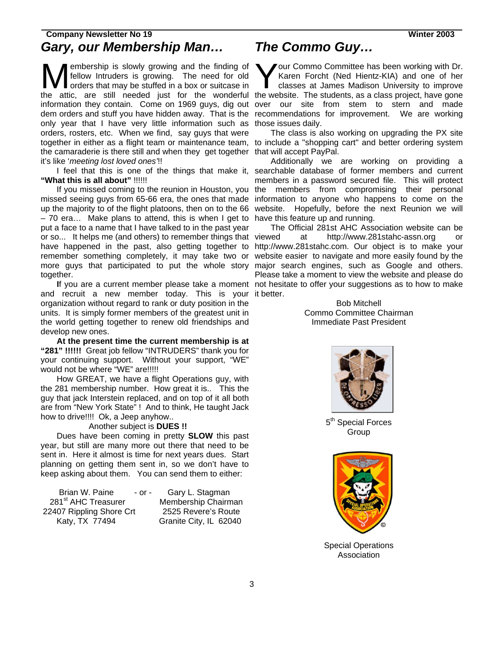# **Company Newsletter No 19 Winter 2003**  *Gary, our Membership Man…*

embership is slowly growing and the finding of fellow Intruders is growing. The need for old orders that may be stuffed in a box or suitcase in only year that I have very little information such as those issues daily. orders, rosters, etc. When we find, say guys that were the camaraderie is there still and when they get together that will accept PayPal. it's like '*meeting lost loved ones'*!! Membership is slowly growing and the finding of<br>fellow Intruders is growing. The need for old<br>orders that may be stuffed in a box or suitcase in<br>the ortic are still peoded just for the wenderful the we

**"What this is all about"** !!!!!!

If you missed coming to the reunion in Houston, you missed seeing guys from 65-66 era, the ones that made up the majority to of the flight platoons, then on to the 66 – 70 era… Make plans to attend, this is when I get to have this feature up and running. put a face to a name that I have talked to in the past year or so... It helps me (and others) to remember things that have happened in the past, also getting together to http://www.281stahc.com. Our object is to make your remember something completely, it may take two or website easier to navigate and more easily found by the more guys that participated to put the whole story major search engines, such as Google and others. together.

and recruit a new member today. This is your it better. organization without regard to rank or duty position in the units. It is simply former members of the greatest unit in the world getting together to renew old friendships and develop new ones.

**At the present time the current membership is at "281" !!!!!!** Great job fellow "INTRUDERS" thank you for your continuing support. Without your support, "WE" would not be where "WE" are!!!!!

How GREAT, we have a flight Operations guy, with the 281 membership number. How great it is.. This the guy that jack Interstein replaced, and on top of it all both are from "New York State" ! And to think, He taught Jack how to drive!!!! Ok, a Jeep anyhow..

Another subject is **DUES !!** 

Dues have been coming in pretty **SLOW** this past year, but still are many more out there that need to be sent in. Here it almost is time for next years dues. Start planning on getting them sent in, so we don't have to keep asking about them. You can send them to either:

Brian W. Paine - or - Gary L. Stagman 281<sup>st</sup> AHC Treasurer Membership Chairman 22407 Rippling Shore Crt 2525 Revere's Route Katy, TX 77494 Granite City, IL 62040

# *The Commo Guy…*

the attic, are still needed just for the wonderful the website. The students, as a class project, have gone information they contain. Come on 1969 guys, dig out over our site from stem to stern and made dem orders and stuff you have hidden away. That is the recommendations for improvement. We are working **V** our Commo Committee has been working with Dr. Karen Forcht (Ned Hientz-KIA) and one of her classes at James Madison University to improve

together in either as a flight team or maintenance team, to include a "shopping cart" and better ordering system The class is also working on upgrading the PX site

I feel that this is one of the things that make it, searchable database of former members and current Additionally we are working on providing a members in a password secured file. This will protect the members from compromising their personal information to anyone who happens to come on the website. Hopefully, before the next Reunion we will

If you are a current member please take a moment not hesitate to offer your suggestions as to how to make The Official 281st AHC Association website can be at http://www.281stahc-assn.org Please take a moment to view the website and please do

> Bob Mitchell Commo Committee Chairman Immediate Past President



5<sup>th</sup> Special Forces Group



Special Operations Association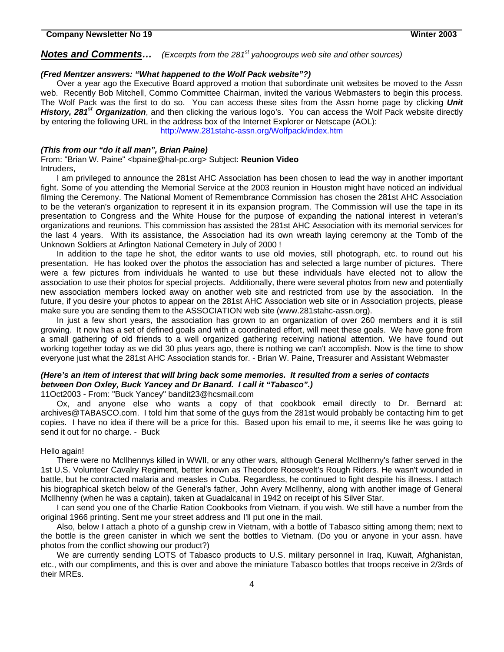# **Notes and Comments...** *(Excerpts from the 281<sup>st</sup> yahoogroups web site and other sources)*

# *(Fred Mentzer answers: "What happened to the Wolf Pack website"?)*

 Over a year ago the Executive Board approved a motion that subordinate unit websites be moved to the Assn web. Recently Bob Mitchell, Commo Committee Chairman, invited the various Webmasters to begin this process. The Wolf Pack was the first to do so. You can access these sites from the Assn home page by clicking *Unit History, 281st Organization*, and then clicking the various logo's. You can access the Wolf Pack website directly by entering the following URL in the address box of the Internet Explorer or Netscape (AOL):

<http://www.281stahc-assn.org/Wolfpack/index.htm>

## *(This from our "do it all man", Brian Paine)*

From: "Brian W. Paine" <bpaine@hal-pc.org> Subject: **Reunion Video** Intruders,

I am privileged to announce the 281st AHC Association has been chosen to lead the way in another important fight. Some of you attending the Memorial Service at the 2003 reunion in Houston might have noticed an individual filming the Ceremony. The National Moment of Remembrance Commission has chosen the 281st AHC Association to be the veteran's organization to represent it in its expansion program. The Commission will use the tape in its presentation to Congress and the White House for the purpose of expanding the national interest in veteran's organizations and reunions. This commission has assisted the 281st AHC Association with its memorial services for the last 4 years. With its assistance, the Association had its own wreath laying ceremony at the Tomb of the Unknown Soldiers at Arlington National Cemetery in July of 2000 !

In addition to the tape he shot, the editor wants to use old movies, still photograph, etc. to round out his presentation. He has looked over the photos the association has and selected a large number of pictures. There were a few pictures from individuals he wanted to use but these individuals have elected not to allow the association to use their photos for special projects. Additionally, there were several photos from new and potentially new association members locked away on another web site and restricted from use by the association. In the future, if you desire your photos to appear on the 281st AHC Association web site or in Association projects, please make sure you are sending them to the ASSOCIATION web site (www.281stahc-assn.org).

In just a few short years, the association has grown to an organization of over 260 members and it is still growing. It now has a set of defined goals and with a coordinated effort, will meet these goals. We have gone from a small gathering of old friends to a well organized gathering receiving national attention. We have found out working together today as we did 30 plus years ago, there is nothing we can't accomplish. Now is the time to show everyone just what the 281st AHC Association stands for. - Brian W. Paine, Treasurer and Assistant Webmaster

# *(Here's an item of interest that will bring back some memories. It resulted from a series of contacts between Don Oxley, Buck Yancey and Dr Banard. I call it "Tabasco".)*

11Oct2003 - From: "Buck Yancey" bandit23@hcsmail.com

Ox, and anyone else who wants a copy of that cookbook email directly to Dr. Bernard at: archives@TABASCO.com. I told him that some of the guys from the 281st would probably be contacting him to get copies. I have no idea if there will be a price for this. Based upon his email to me, it seems like he was going to send it out for no charge. - Buck

#### Hello again!

There were no McIlhennys killed in WWII, or any other wars, although General McIlhenny's father served in the 1st U.S. Volunteer Cavalry Regiment, better known as Theodore Roosevelt's Rough Riders. He wasn't wounded in battle, but he contracted malaria and measles in Cuba. Regardless, he continued to fight despite his illness. I attach his biographical sketch below of the General's father, John Avery McIlhenny, along with another image of General McIlhenny (when he was a captain), taken at Guadalcanal in 1942 on receipt of his Silver Star.

I can send you one of the Charlie Ration Cookbooks from Vietnam, if you wish. We still have a number from the original 1966 printing. Sent me your street address and I'll put one in the mail.

Also, below I attach a photo of a gunship crew in Vietnam, with a bottle of Tabasco sitting among them; next to the bottle is the green canister in which we sent the bottles to Vietnam. (Do you or anyone in your assn. have photos from the conflict showing our product?)

We are currently sending LOTS of Tabasco products to U.S. military personnel in Iraq, Kuwait, Afghanistan, etc., with our compliments, and this is over and above the miniature Tabasco bottles that troops receive in 2/3rds of their MREs.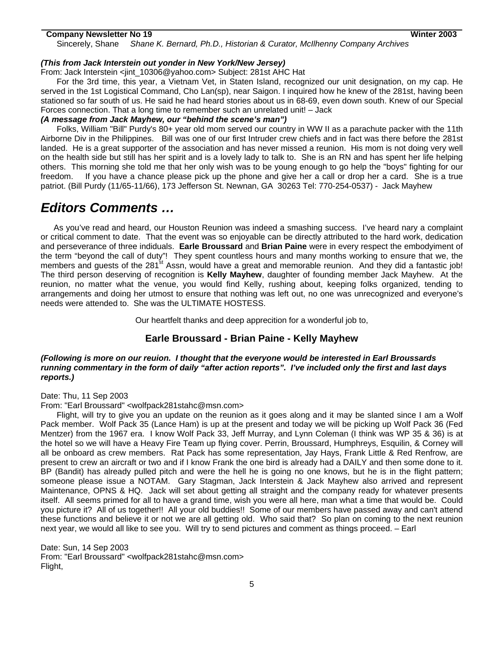Sincerely, Shane *Shane K. Bernard, Ph.D., Historian & Curator, McIlhenny Company Archives* 

# *(This from Jack Interstein out yonder in New York/New Jersey)*

From: Jack Interstein <jint\_10306@yahoo.com> Subject: 281st AHC Hat

For the 3rd time, this year, a Vietnam Vet, in Staten Island, recognized our unit designation, on my cap. He served in the 1st Logistical Command, Cho Lan(sp), near Saigon. I inquired how he knew of the 281st, having been stationed so far south of us. He said he had heard stories about us in 68-69, even down south. Knew of our Special Forces connection. That a long time to remember such an unrelated unit! – Jack

# *(A message from Jack Mayhew, our "behind the scene's man")*

Folks, William "Bill" Purdy's 80+ year old mom served our country in WW II as a parachute packer with the 11th Airborne Div in the Philippines. Bill was one of our first Intruder crew chiefs and in fact was there before the 281st landed. He is a great supporter of the association and has never missed a reunion. His mom is not doing very well on the health side but still has her spirit and is a lovely lady to talk to. She is an RN and has spent her life helping others. This morning she told me that her only wish was to be young enough to go help the "boys" fighting for our freedom. If you have a chance please pick up the phone and give her a call or drop her a card. She is a true patriot. (Bill Purdy (11/65-11/66), 173 Jefferson St. Newnan, GA 30263 Tel: 770-254-0537) - Jack Mayhew

# *Editors Comments …*

 As you've read and heard, our Houston Reunion was indeed a smashing success. I've heard nary a complaint or critical comment to date. That the event was so enjoyable can be directly attributed to the hard work, dedication and perseverance of three indiduals. **Earle Broussard** and **Brian Paine** were in every respect the embodyiment of the term "beyond the call of duty"! They spent countless hours and many months working to ensure that we, the members and guests of the 281<sup>st</sup> Assn, would have a great and memorable reunion. And they did a fantastic job! The third person deserving of recognition is **Kelly Mayhew**, daughter of founding member Jack Mayhew. At the reunion, no matter what the venue, you would find Kelly, rushing about, keeping folks organized, tending to arrangements and doing her utmost to ensure that nothing was left out, no one was unrecognized and everyone's needs were attended to. She was the ULTIMATE HOSTESS.

Our heartfelt thanks and deep apprecition for a wonderful job to,

# **Earle Broussard - Brian Paine - Kelly Mayhew**

# *(Following is more on our reuion. I thought that the everyone would be interested in Earl Broussards running commentary in the form of daily "after action reports". I've included only the first and last days reports.)*

Date: Thu, 11 Sep 2003

From: "Earl Broussard" <wolfpack281stahc@msn.com>

Flight, will try to give you an update on the reunion as it goes along and it may be slanted since I am a Wolf Pack member. Wolf Pack 35 (Lance Ham) is up at the present and today we will be picking up Wolf Pack 36 (Fed Mentzer) from the 1967 era. I know Wolf Pack 33, Jeff Murray, and Lynn Coleman (I think was WP 35 & 36) is at the hotel so we will have a Heavy Fire Team up flying cover. Perrin, Broussard, Humphreys, Esquilin, & Corney will all be onboard as crew members. Rat Pack has some representation, Jay Hays, Frank Little & Red Renfrow, are present to crew an aircraft or two and if I know Frank the one bird is already had a DAILY and then some done to it. BP (Bandit) has already pulled pitch and were the hell he is going no one knows, but he is in the flight pattern; someone please issue a NOTAM. Gary Stagman, Jack Interstein & Jack Mayhew also arrived and represent Maintenance, OPNS & HQ. Jack will set about getting all straight and the company ready for whatever presents itself. All seems primed for all to have a grand time, wish you were all here, man what a time that would be. Could you picture it? All of us together!! All your old buddies!! Some of our members have passed away and can't attend these functions and believe it or not we are all getting old. Who said that? So plan on coming to the next reunion next year, we would all like to see you. Will try to send pictures and comment as things proceed. – Earl

Date: Sun, 14 Sep 2003 From: "Earl Broussard" <wolfpack281stahc@msn.com> Flight,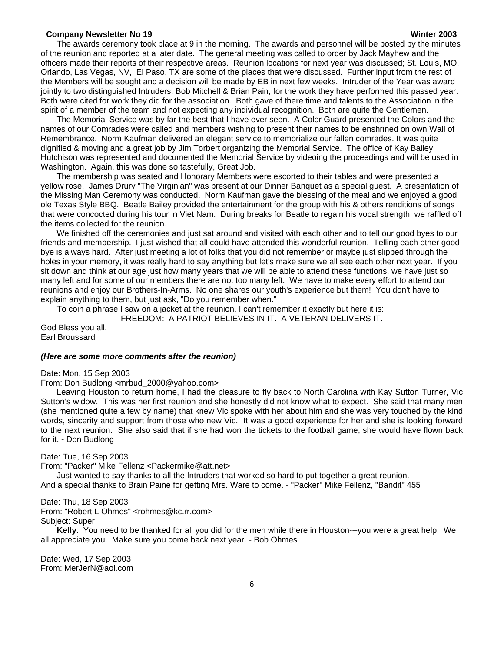The awards ceremony took place at 9 in the morning. The awards and personnel will be posted by the minutes of the reunion and reported at a later date. The general meeting was called to order by Jack Mayhew and the officers made their reports of their respective areas. Reunion locations for next year was discussed; St. Louis, MO, Orlando, Las Vegas, NV, El Paso, TX are some of the places that were discussed. Further input from the rest of the Members will be sought and a decision will be made by EB in next few weeks. Intruder of the Year was award jointly to two distinguished Intruders, Bob Mitchell & Brian Pain, for the work they have performed this passed year. Both were cited for work they did for the association. Both gave of there time and talents to the Association in the spirit of a member of the team and not expecting any individual recognition. Both are quite the Gentlemen.

The Memorial Service was by far the best that I have ever seen. A Color Guard presented the Colors and the names of our Comrades were called and members wishing to present their names to be enshrined on own Wall of Remembrance. Norm Kaufman delivered an elegant service to memorialize our fallen comrades. It was quite dignified & moving and a great job by Jim Torbert organizing the Memorial Service. The office of Kay Bailey Hutchison was represented and documented the Memorial Service by videoing the proceedings and will be used in Washington. Again, this was done so tastefully, Great Job.

The membership was seated and Honorary Members were escorted to their tables and were presented a yellow rose. James Drury "The Virginian" was present at our Dinner Banquet as a special guest. A presentation of the Missing Man Ceremony was conducted. Norm Kaufman gave the blessing of the meal and we enjoyed a good ole Texas Style BBQ. Beatle Bailey provided the entertainment for the group with his & others renditions of songs that were concocted during his tour in Viet Nam. During breaks for Beatle to regain his vocal strength, we raffled off the items collected for the reunion.

We finished off the ceremonies and just sat around and visited with each other and to tell our good byes to our friends and membership. I just wished that all could have attended this wonderful reunion. Telling each other goodbye is always hard. After just meeting a lot of folks that you did not remember or maybe just slipped through the holes in your memory, it was really hard to say anything but let's make sure we all see each other next year. If you sit down and think at our age just how many years that we will be able to attend these functions, we have just so many left and for some of our members there are not too many left. We have to make every effort to attend our reunions and enjoy our Brothers-In-Arms. No one shares our youth's experience but them! You don't have to explain anything to them, but just ask, "Do you remember when."

To coin a phrase I saw on a jacket at the reunion. I can't remember it exactly but here it is: FREEDOM: A PATRIOT BELIEVES IN IT. A VETERAN DELIVERS IT.

God Bless you all. Earl Broussard

### *(Here are some more comments after the reunion)*

Date: Mon, 15 Sep 2003

From: Don Budlong <mrbud\_2000@yahoo.com>

Leaving Houston to return home, I had the pleasure to fly back to North Carolina with Kay Sutton Turner, Vic Sutton's widow. This was her first reunion and she honestly did not know what to expect. She said that many men (she mentioned quite a few by name) that knew Vic spoke with her about him and she was very touched by the kind words, sincerity and support from those who new Vic. It was a good experience for her and she is looking forward to the next reunion. She also said that if she had won the tickets to the football game, she would have flown back for it. - Don Budlong

Date: Tue, 16 Sep 2003

From: "Packer" Mike Fellenz <Packermike@att.net>

Just wanted to say thanks to all the Intruders that worked so hard to put together a great reunion. And a special thanks to Brain Paine for getting Mrs. Ware to come. - "Packer" Mike Fellenz, "Bandit" 455

# Date: Thu, 18 Sep 2003

From: "Robert L Ohmes" <rohmes@kc.rr.com> Subject: Super

**Kelly**: You need to be thanked for all you did for the men while there in Houston---you were a great help. We all appreciate you. Make sure you come back next year. - Bob Ohmes

Date: Wed, 17 Sep 2003 From: MerJerN@aol.com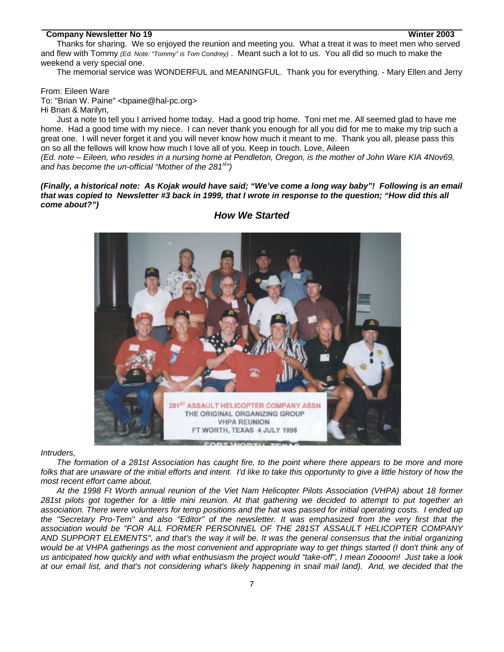Thanks for sharing. We so enjoyed the reunion and meeting you. What a treat it was to meet men who served and flew with Tommy *(Ed. Note: "Tommy" is Tom Condrey)* . Meant such a lot to us. You all did so much to make the weekend a very special one.

The memorial service was WONDERFUL and MEANINGFUL. Thank you for everything. - Mary Ellen and Jerry

From: Eileen Ware

To: "Brian W. Paine" <bpaine@hal-pc.org> Hi Brian & Marilyn,

Just a note to tell you I arrived home today. Had a good trip home. Toni met me. All seemed glad to have me home. Had a good time with my niece. I can never thank you enough for all you did for me to make my trip such a great one. I will never forget it and you will never know how much it meant to me. Thank you all, please pass this on so all the fellows will know how much I love all of you. Keep in touch. Love, Aileen

*(Ed. note – Eileen, who resides in a nursing home at Pendleton, Oregon, is the mother of John Ware KIA 4Nov69, and has become the un-official "Mother of the 281st")* 

*(Finally, a historical note: As Kojak would have said; "We've come a long way baby"! Following is an email that was copied to Newsletter #3 back in 1999, that I wrote in response to the question; "How did this all come about?")* 



# *How We Started*

*Intruders,* 

*The formation of a 281st Association has caught fire, to the point where there appears to be more and more*  folks that are unaware of the initial efforts and intent. I'd like to take this opportunity to give a little history of how the *most recent effort came about.* 

*At the 1998 Ft Worth annual reunion of the Viet Nam Helicopter Pilots Association (VHPA) about 18 former 281st pilots got together for a little mini reunion. At that gathering we decided to attempt to put together an association. There were volunteers for temp positions and the hat was passed for initial operating costs. I ended up the "Secretary Pro-Tem" and also "Editor" of the newsletter. It was emphasized from the very first that the association would be "FOR ALL FORMER PERSONNEL OF THE 281ST ASSAULT HELICOPTER COMPANY AND SUPPORT ELEMENTS", and that's the way it will be. It was the general consensus that the initial organizing would be at VHPA gatherings as the most convenient and appropriate way to get things started (I don't think any of us anticipated how quickly and with what enthusiasm the project would "take-off", I mean Zoooom! Just take a look at our email list, and that's not considering what's likely happening in snail mail land). And, we decided that the*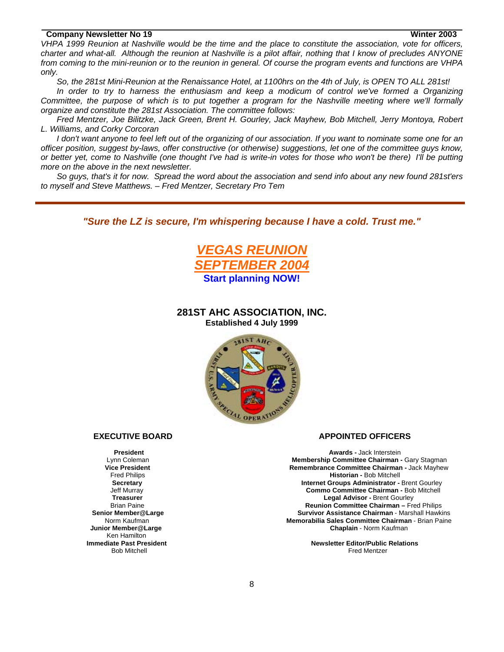*VHPA 1999 Reunion at Nashville would be the time and the place to constitute the association, vote for officers, charter and what-all. Although the reunion at Nashville is a pilot affair, nothing that I know of precludes ANYONE from coming to the mini-reunion or to the reunion in general. Of course the program events and functions are VHPA only.* 

*So, the 281st Mini-Reunion at the Renaissance Hotel, at 1100hrs on the 4th of July, is OPEN TO ALL 281st!* 

*In order to try to harness the enthusiasm and keep a modicum of control we've formed a Organizing Committee, the purpose of which is to put together a program for the Nashville meeting where we'll formally organize and constitute the 281st Association. The committee follows:* 

*Fred Mentzer, Joe Bilitzke, Jack Green, Brent H. Gourley, Jack Mayhew, Bob Mitchell, Jerry Montoya, Robert L. Williams, and Corky Corcoran* 

*I don't want anyone to feel left out of the organizing of our association. If you want to nominate some one for an officer position, suggest by-laws, offer constructive (or otherwise) suggestions, let one of the committee guys know, or better yet, come to Nashville (one thought I've had is write-in votes for those who won't be there) I'll be putting more on the above in the next newsletter.* 

*So guys, that's it for now. Spread the word about the association and send info about any new found 281st'ers to myself and Steve Matthews. – Fred Mentzer, Secretary Pro Tem* 

*"Sure the LZ is secure, I'm whispering because I have a cold. Trust me."*



**281ST AHC ASSOCIATION, INC. Established 4 July 1999** 



 Ken Hamilton **Immediate Past President** 

#### **EXECUTIVE BOARD APPOINTED OFFICERS**

**President Awards - Jack Interstein**  Lynn Coleman **Membership Committee Chairman -** Gary Stagman **Vice President Committee Chairman - Jack Mayhew Remembrance Committee Chairman - Jack Mayhew Fred Philips Chairman - Ack Mayhew Historian - Bob Mitchell Historian - Bob Mitchell Secretary Internet Groups Administrator -** Brent Gourley Jeff Murray **Commo Committee Chairman -** Bob Mitchell **Treasurer Legal Advisor - Brent Gourley<br>Brian Paine Commercial Commercial Commercial Commercial Commercial Commercial Commercial Commercial Commercial Reunion Committee Chairman – Fred Philips Senior Member@Large Survivor Assistance Chairman** - Marshall HawkinsNorm Kaufman **Memorabilia Sales Committee Chairman** - Brian Paine **Junior Member@Large Chaplain** - Norm Kaufman

Finite Contract Press Pressuent<br>Bob Mitchell Fred Mentzer **Newsletter Editor/Public Relations**